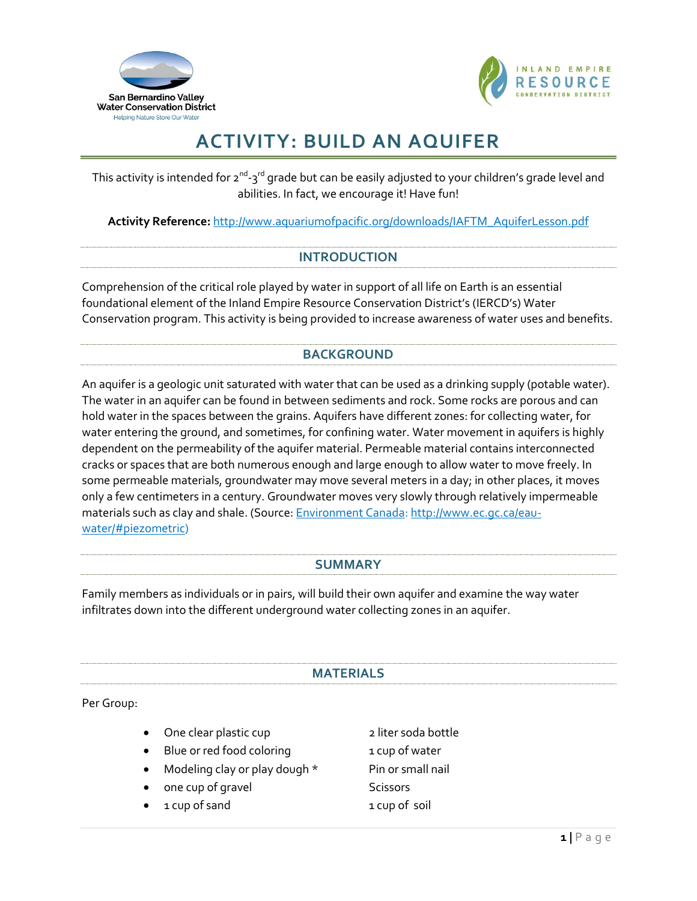



# **ACTIVITY: BUILD AN AQUIFER**

This activity is intended for 2<sup>nd</sup>-3<sup>rd</sup> grade but can be easily adjusted to your children's grade level and abilities. In fact, we encourage it! Have fun!

**Activity Reference:** [http://www.aquariumofpacific.org/downloads/IAFTM\\_AquiferLesson.pdf](http://www.aquariumofpacific.org/downloads/IAFTM_AquiferLesson.pdf)

#### **INTRODUCTION**

Comprehension of the critical role played by water in support of all life on Earth is an essential foundational element of the Inland Empire Resource Conservation District's (IERCD's) Water Conservation program. This activity is being provided to increase awareness of water uses and benefits.

# **BACKGROUND**

An aquifer is a geologic unit saturated with water that can be used as a drinking supply (potable water). The water in an aquifer can be found in between sediments and rock. Some rocks are porous and can hold water in the spaces between the grains. Aquifers have different zones: for collecting water, for water entering the ground, and sometimes, for confining water. Water movement in aquifers is highly dependent on the permeability of the aquifer material. Permeable material contains interconnected cracks or spaces that are both numerous enough and large enough to allow water to move freely. In some permeable materials, groundwater may move several meters in a day; in other places, it moves only a few centimeters in a century. Groundwater moves very slowly through relatively impermeable materials such as clay and shale. (Source: **Environment Canada: [http://www.ec.gc.ca/eau](http://www.ec.gc.ca/eau-water/#piezometric)**[water/#piezometric\)](http://www.ec.gc.ca/eau-water/#piezometric)

#### **SUMMARY**

Family members as individuals or in pairs, will build their own aquifer and examine the way water infiltrates down into the different underground water collecting zones in an aquifer.

#### **MATERIALS**

Per Group:

|  | One clear plastic cup | 2 liter soda bottle |
|--|-----------------------|---------------------|
|--|-----------------------|---------------------|

- Blue or red food coloring 1 cup of water
- Modeling clay or play dough \* Pin or small nail
- one cup of gravel and some Scissors
- 1 cup of sand 1 cup of soil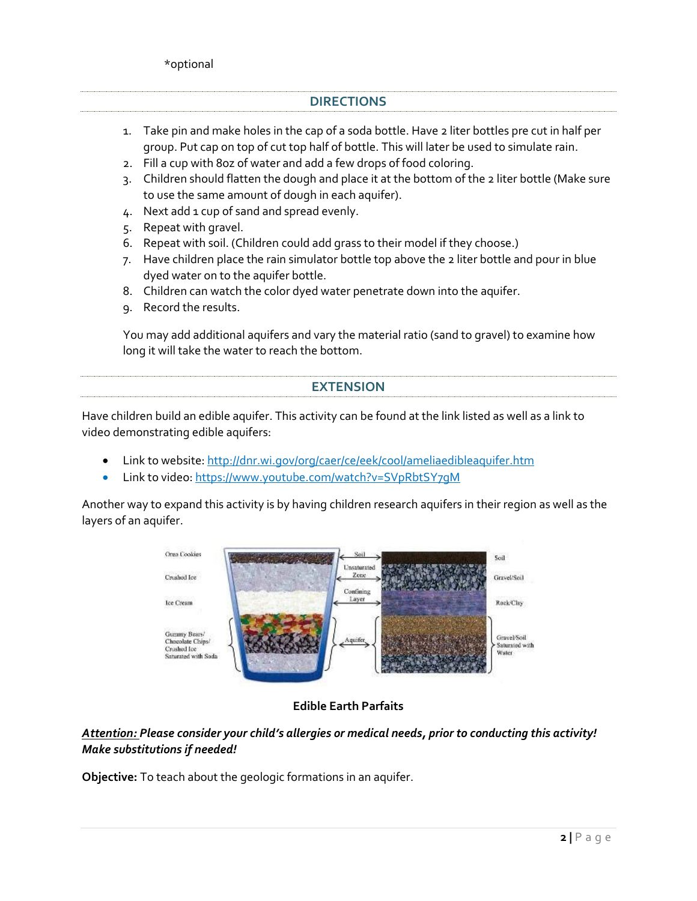## **DIRECTIONS**

- 1. Take pin and make holes in the cap of a soda bottle. Have 2 liter bottles pre cut in half per group. Put cap on top of cut top half of bottle. This will later be used to simulate rain.
- 2. Fill a cup with 8oz of water and add a few drops of food coloring.
- 3. Children should flatten the dough and place it at the bottom of the 2 liter bottle (Make sure to use the same amount of dough in each aquifer).
- 4. Next add 1 cup of sand and spread evenly.
- 5. Repeat with gravel.
- 6. Repeat with soil. (Children could add grass to their model if they choose.)
- 7. Have children place the rain simulator bottle top above the 2 liter bottle and pour in blue dyed water on to the aquifer bottle.
- 8. Children can watch the color dyed water penetrate down into the aquifer.
- 9. Record the results.

You may add additional aquifers and vary the material ratio (sand to gravel) to examine how long it will take the water to reach the bottom.

## **EXTENSION**

Have children build an edible aquifer. This activity can be found at the link listed as well as a link to video demonstrating edible aquifers:

- Link to website: <http://dnr.wi.gov/org/caer/ce/eek/cool/ameliaedibleaquifer.htm>
- Link to video[: https://www.youtube.com/watch?v=SVpRbtSY7gM](https://www.youtube.com/watch?v=SVpRbtSY7gM)

Another way to expand this activity is by having children research aquifers in their region as well as the layers of an aquifer.



**Edible Earth Parfaits**

# *Attention: Please consider your child's allergies or medical needs, prior to conducting this activity! Make substitutions if needed!*

**Objective:** To teach about the geologic formations in an aquifer.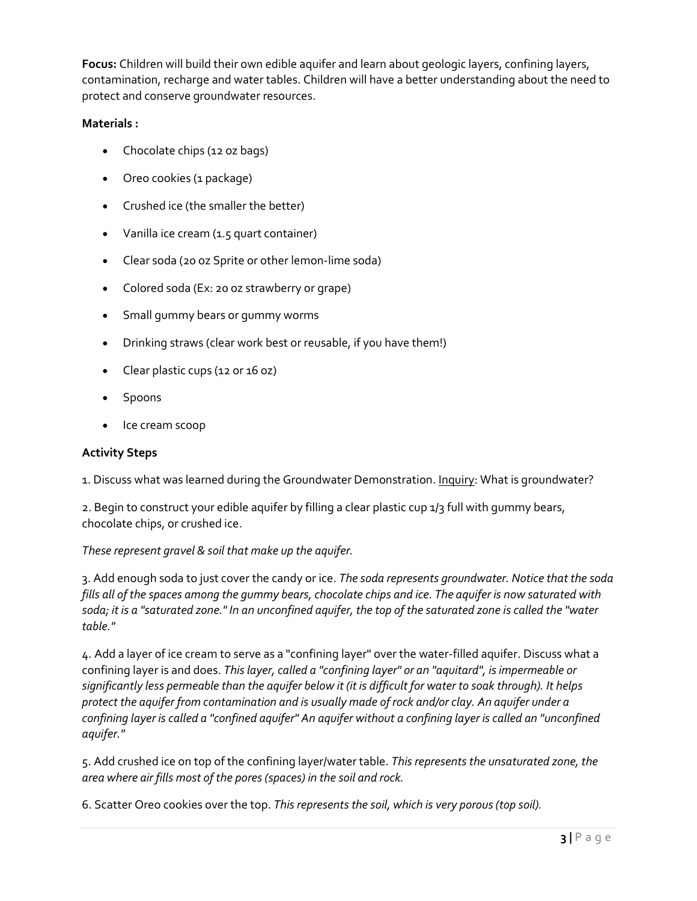**Focus:** Children will build their own edible aquifer and learn about geologic layers, confining layers, contamination, recharge and water tables. Children will have a better understanding about the need to protect and conserve groundwater resources.

# **Materials :**

- Chocolate chips (12 oz bags)
- Oreo cookies (1 package)
- Crushed ice (the smaller the better)
- Vanilla ice cream (1.5 quart container)
- Clear soda (20 oz Sprite or other lemon-lime soda)
- Colored soda (Ex: 20 oz strawberry or grape)
- Small gummy bears or gummy worms
- Drinking straws (clear work best or reusable, if you have them!)
- Clear plastic cups (12 or 16 oz)
- Spoons
- Ice cream scoop

### **Activity Steps**

1. Discuss what was learned during the Groundwater Demonstration. Inquiry: What is groundwater?

2. Begin to construct your edible aquifer by filling a clear plastic cup 1/3 full with gummy bears, chocolate chips, or crushed ice.

## *These represent gravel & soil that make up the aquifer.*

3. Add enough soda to just cover the candy or ice. *The soda represents groundwater. Notice that the soda fills all of the spaces among the gummy bears, chocolate chips and ice. The aquifer is now saturated with soda; it is a "saturated zone." In an unconfined aquifer, the top of the saturated zone is called the "water table."* 

4. Add a layer of ice cream to serve as a "confining layer" over the water-filled aquifer. Discuss what a confining layer is and does. *This layer, called a "confining layer" or an "aquitard", is impermeable or significantly less permeable than the aquifer below it (it is difficult for water to soak through). It helps protect the aquifer from contamination and is usually made of rock and/or clay. An aquifer under a confining layer is called a "confined aquifer" An aquifer without a confining layer is called an "unconfined aquifer."* 

5. Add crushed ice on top of the confining layer/water table. *This represents the unsaturated zone, the area where air fills most of the pores (spaces) in the soil and rock.* 

6. Scatter Oreo cookies over the top. *This represents the soil, which is very porous (top soil).*